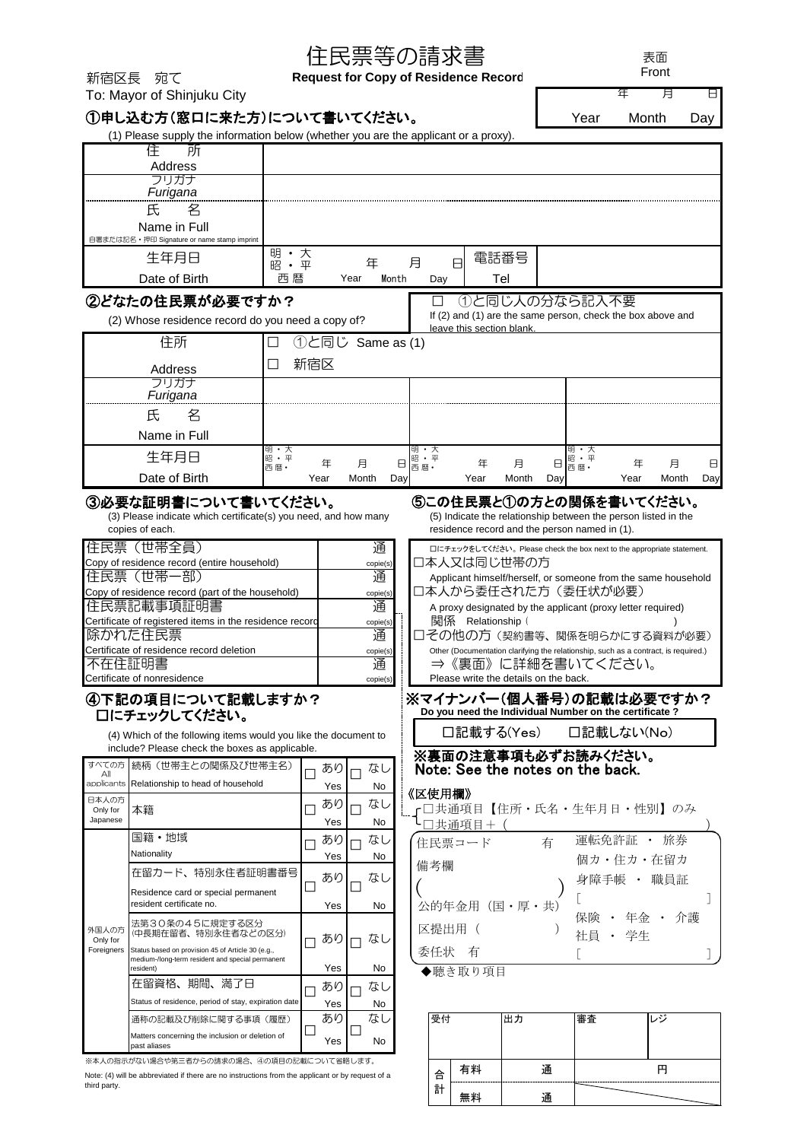| 年<br>月<br>8<br>To: Mayor of Shinjuku City<br>①申し込む方(窓口に来た方)について書いてください。<br>Year<br>Month<br>Day<br>(1) Please supply the information below (whether you are the applicant or a proxy).<br>住<br>所<br>Address<br>フリガナ<br>Furigana<br>名<br>氏<br>Name in Full<br>自署または記名・押印 Signature or name stamp imprint<br>明·大<br>電話番号<br>生年月日<br>月<br>8<br>年<br>昭·平<br>Date of Birth<br>西暦<br>Tel<br>Year<br>Month<br>Day<br>②どなたの住民票が必要ですか?<br>①と同じ人の分なら記入不要<br>If (2) and (1) are the same person, check the box above and<br>(2) Whose residence record do you need a copy of?<br>leave this section blank.<br>①と同じ Same as (1)<br>住所<br>П<br>新宿区<br>□<br>Address<br>フリガナ<br>Furigana<br>氏<br>名<br>Name in Full<br>明・大<br>明・大<br>明・大<br>生年月日<br>昭·平<br>昭・平<br>昭·平<br>月<br>月<br>年<br>月<br>年<br>Θ<br>年<br>8<br>⊟<br>西暦·<br>西暦·<br>西暦·<br>Date of Birth<br>Month<br>Year<br>Day<br>Year<br>Month<br>Day<br>Year<br>Month<br>Day<br>⑤この住民票と①の方との関係を書いてください。<br>③必要な証明書について書いてください。<br>(3) Please indicate which certificate(s) you need, and how many<br>(5) Indicate the relationship between the person listed in the<br>copies of each.<br>residence record and the person named in (1).<br>住民票 (世帯全員)<br>通<br>ロにチェックをしてください。Please check the box next to the appropriate statement.<br>口本人又は同じ世帯の方<br>Copy of residence record (entire household)<br>copie(s)<br>住民票(世帯一部)<br>通<br>Applicant himself/herself, or someone from the same household<br>口本人から委任された方(委任状が必要)<br>Copy of residence record (part of the household)<br>copie(s)<br>通<br>住民票記載事項証明書<br>A proxy designated by the applicant (proxy letter required)<br>関係 Relationship (<br>Certificate of registered items in the residence record<br>copie(s)<br>除かれた住民票<br>通<br>□その他の方(契約書等、関係を明らかにする資料が必要)<br>Certificate of residence record deletion<br>Other (Documentation clarifying the relationship, such as a contract, is required.)<br>copie(s)<br>⇒《裏面》に詳細を書いてください。<br>不在住証明書<br>通<br>Please write the details on the back.<br>Certificate of nonresidence<br>copie(s)<br>※マイナンバー(個人番号)の記載は必要ですか?<br>④下記の項目について記載しますか?<br>Do you need the Individual Number on the certificate?<br>口にチェックしてください。<br>□記載する(Yes) □記載しない(No)<br>(4) Which of the following items would you like the document to<br>include? Please check the boxes as applicable.<br>※裏面の注意事項も必ずお読みください。<br>続柄(世帯主との関係及び世帯主名)<br>すべての方<br>あり<br>Note: See the notes on the back.<br>なし<br>Αll<br>applicants<br>Relationship to head of household<br>Yes<br>No.<br>《区使用欄》<br>日本人の方<br>あり<br>なし<br>「□共通項目【住所・氏名・生年月日・性別】のみ<br>Only for<br>本籍<br>Japanese<br>Yes<br>No<br>□共通項目+(<br>国籍·地域<br>運転免許証 · 旅券<br>あり<br>なし<br>住民票コード<br>有<br>Nationality<br>Yes<br>No.<br>個カ・住カ・在留カ |                                                      |                                             | 住民票等の請求書 |  |  | 表面<br>Front |  |  |  |  |  |  |
|--------------------------------------------------------------------------------------------------------------------------------------------------------------------------------------------------------------------------------------------------------------------------------------------------------------------------------------------------------------------------------------------------------------------------------------------------------------------------------------------------------------------------------------------------------------------------------------------------------------------------------------------------------------------------------------------------------------------------------------------------------------------------------------------------------------------------------------------------------------------------------------------------------------------------------------------------------------------------------------------------------------------------------------------------------------------------------------------------------------------------------------------------------------------------------------------------------------------------------------------------------------------------------------------------------------------------------------------------------------------------------------------------------------------------------------------------------------------------------------------------------------------------------------------------------------------------------------------------------------------------------------------------------------------------------------------------------------------------------------------------------------------------------------------------------------------------------------------------------------------------------------------------------------------------------------------------------------------------------------------------------------------------------------------------------------------------------------------------------------------------------------------------------------------------------------------------------------------------------------------------------------------------------------------------------------------------------------------------------------------------------------------------------------------------------------------------------------------------------------------------------------------------------------------------------------------------------------------------------------------------------------------------------------------------------------------------|------------------------------------------------------|---------------------------------------------|----------|--|--|-------------|--|--|--|--|--|--|
|                                                                                                                                                                                                                                                                                                                                                                                                                                                                                                                                                                                                                                                                                                                                                                                                                                                                                                                                                                                                                                                                                                                                                                                                                                                                                                                                                                                                                                                                                                                                                                                                                                                                                                                                                                                                                                                                                                                                                                                                                                                                                                                                                                                                                                                                                                                                                                                                                                                                                                                                                                                                                                                                                                  | 新宿区長 宛て                                              | <b>Request for Copy of Residence Record</b> |          |  |  |             |  |  |  |  |  |  |
|                                                                                                                                                                                                                                                                                                                                                                                                                                                                                                                                                                                                                                                                                                                                                                                                                                                                                                                                                                                                                                                                                                                                                                                                                                                                                                                                                                                                                                                                                                                                                                                                                                                                                                                                                                                                                                                                                                                                                                                                                                                                                                                                                                                                                                                                                                                                                                                                                                                                                                                                                                                                                                                                                                  |                                                      |                                             |          |  |  |             |  |  |  |  |  |  |
|                                                                                                                                                                                                                                                                                                                                                                                                                                                                                                                                                                                                                                                                                                                                                                                                                                                                                                                                                                                                                                                                                                                                                                                                                                                                                                                                                                                                                                                                                                                                                                                                                                                                                                                                                                                                                                                                                                                                                                                                                                                                                                                                                                                                                                                                                                                                                                                                                                                                                                                                                                                                                                                                                                  |                                                      |                                             |          |  |  |             |  |  |  |  |  |  |
|                                                                                                                                                                                                                                                                                                                                                                                                                                                                                                                                                                                                                                                                                                                                                                                                                                                                                                                                                                                                                                                                                                                                                                                                                                                                                                                                                                                                                                                                                                                                                                                                                                                                                                                                                                                                                                                                                                                                                                                                                                                                                                                                                                                                                                                                                                                                                                                                                                                                                                                                                                                                                                                                                                  |                                                      |                                             |          |  |  |             |  |  |  |  |  |  |
|                                                                                                                                                                                                                                                                                                                                                                                                                                                                                                                                                                                                                                                                                                                                                                                                                                                                                                                                                                                                                                                                                                                                                                                                                                                                                                                                                                                                                                                                                                                                                                                                                                                                                                                                                                                                                                                                                                                                                                                                                                                                                                                                                                                                                                                                                                                                                                                                                                                                                                                                                                                                                                                                                                  |                                                      |                                             |          |  |  |             |  |  |  |  |  |  |
|                                                                                                                                                                                                                                                                                                                                                                                                                                                                                                                                                                                                                                                                                                                                                                                                                                                                                                                                                                                                                                                                                                                                                                                                                                                                                                                                                                                                                                                                                                                                                                                                                                                                                                                                                                                                                                                                                                                                                                                                                                                                                                                                                                                                                                                                                                                                                                                                                                                                                                                                                                                                                                                                                                  |                                                      |                                             |          |  |  |             |  |  |  |  |  |  |
|                                                                                                                                                                                                                                                                                                                                                                                                                                                                                                                                                                                                                                                                                                                                                                                                                                                                                                                                                                                                                                                                                                                                                                                                                                                                                                                                                                                                                                                                                                                                                                                                                                                                                                                                                                                                                                                                                                                                                                                                                                                                                                                                                                                                                                                                                                                                                                                                                                                                                                                                                                                                                                                                                                  |                                                      |                                             |          |  |  |             |  |  |  |  |  |  |
|                                                                                                                                                                                                                                                                                                                                                                                                                                                                                                                                                                                                                                                                                                                                                                                                                                                                                                                                                                                                                                                                                                                                                                                                                                                                                                                                                                                                                                                                                                                                                                                                                                                                                                                                                                                                                                                                                                                                                                                                                                                                                                                                                                                                                                                                                                                                                                                                                                                                                                                                                                                                                                                                                                  |                                                      |                                             |          |  |  |             |  |  |  |  |  |  |
|                                                                                                                                                                                                                                                                                                                                                                                                                                                                                                                                                                                                                                                                                                                                                                                                                                                                                                                                                                                                                                                                                                                                                                                                                                                                                                                                                                                                                                                                                                                                                                                                                                                                                                                                                                                                                                                                                                                                                                                                                                                                                                                                                                                                                                                                                                                                                                                                                                                                                                                                                                                                                                                                                                  |                                                      |                                             |          |  |  |             |  |  |  |  |  |  |
|                                                                                                                                                                                                                                                                                                                                                                                                                                                                                                                                                                                                                                                                                                                                                                                                                                                                                                                                                                                                                                                                                                                                                                                                                                                                                                                                                                                                                                                                                                                                                                                                                                                                                                                                                                                                                                                                                                                                                                                                                                                                                                                                                                                                                                                                                                                                                                                                                                                                                                                                                                                                                                                                                                  |                                                      |                                             |          |  |  |             |  |  |  |  |  |  |
|                                                                                                                                                                                                                                                                                                                                                                                                                                                                                                                                                                                                                                                                                                                                                                                                                                                                                                                                                                                                                                                                                                                                                                                                                                                                                                                                                                                                                                                                                                                                                                                                                                                                                                                                                                                                                                                                                                                                                                                                                                                                                                                                                                                                                                                                                                                                                                                                                                                                                                                                                                                                                                                                                                  |                                                      |                                             |          |  |  |             |  |  |  |  |  |  |
|                                                                                                                                                                                                                                                                                                                                                                                                                                                                                                                                                                                                                                                                                                                                                                                                                                                                                                                                                                                                                                                                                                                                                                                                                                                                                                                                                                                                                                                                                                                                                                                                                                                                                                                                                                                                                                                                                                                                                                                                                                                                                                                                                                                                                                                                                                                                                                                                                                                                                                                                                                                                                                                                                                  |                                                      |                                             |          |  |  |             |  |  |  |  |  |  |
|                                                                                                                                                                                                                                                                                                                                                                                                                                                                                                                                                                                                                                                                                                                                                                                                                                                                                                                                                                                                                                                                                                                                                                                                                                                                                                                                                                                                                                                                                                                                                                                                                                                                                                                                                                                                                                                                                                                                                                                                                                                                                                                                                                                                                                                                                                                                                                                                                                                                                                                                                                                                                                                                                                  |                                                      |                                             |          |  |  |             |  |  |  |  |  |  |
|                                                                                                                                                                                                                                                                                                                                                                                                                                                                                                                                                                                                                                                                                                                                                                                                                                                                                                                                                                                                                                                                                                                                                                                                                                                                                                                                                                                                                                                                                                                                                                                                                                                                                                                                                                                                                                                                                                                                                                                                                                                                                                                                                                                                                                                                                                                                                                                                                                                                                                                                                                                                                                                                                                  |                                                      |                                             |          |  |  |             |  |  |  |  |  |  |
|                                                                                                                                                                                                                                                                                                                                                                                                                                                                                                                                                                                                                                                                                                                                                                                                                                                                                                                                                                                                                                                                                                                                                                                                                                                                                                                                                                                                                                                                                                                                                                                                                                                                                                                                                                                                                                                                                                                                                                                                                                                                                                                                                                                                                                                                                                                                                                                                                                                                                                                                                                                                                                                                                                  |                                                      |                                             |          |  |  |             |  |  |  |  |  |  |
|                                                                                                                                                                                                                                                                                                                                                                                                                                                                                                                                                                                                                                                                                                                                                                                                                                                                                                                                                                                                                                                                                                                                                                                                                                                                                                                                                                                                                                                                                                                                                                                                                                                                                                                                                                                                                                                                                                                                                                                                                                                                                                                                                                                                                                                                                                                                                                                                                                                                                                                                                                                                                                                                                                  |                                                      |                                             |          |  |  |             |  |  |  |  |  |  |
|                                                                                                                                                                                                                                                                                                                                                                                                                                                                                                                                                                                                                                                                                                                                                                                                                                                                                                                                                                                                                                                                                                                                                                                                                                                                                                                                                                                                                                                                                                                                                                                                                                                                                                                                                                                                                                                                                                                                                                                                                                                                                                                                                                                                                                                                                                                                                                                                                                                                                                                                                                                                                                                                                                  |                                                      |                                             |          |  |  |             |  |  |  |  |  |  |
|                                                                                                                                                                                                                                                                                                                                                                                                                                                                                                                                                                                                                                                                                                                                                                                                                                                                                                                                                                                                                                                                                                                                                                                                                                                                                                                                                                                                                                                                                                                                                                                                                                                                                                                                                                                                                                                                                                                                                                                                                                                                                                                                                                                                                                                                                                                                                                                                                                                                                                                                                                                                                                                                                                  |                                                      |                                             |          |  |  |             |  |  |  |  |  |  |
|                                                                                                                                                                                                                                                                                                                                                                                                                                                                                                                                                                                                                                                                                                                                                                                                                                                                                                                                                                                                                                                                                                                                                                                                                                                                                                                                                                                                                                                                                                                                                                                                                                                                                                                                                                                                                                                                                                                                                                                                                                                                                                                                                                                                                                                                                                                                                                                                                                                                                                                                                                                                                                                                                                  |                                                      |                                             |          |  |  |             |  |  |  |  |  |  |
|                                                                                                                                                                                                                                                                                                                                                                                                                                                                                                                                                                                                                                                                                                                                                                                                                                                                                                                                                                                                                                                                                                                                                                                                                                                                                                                                                                                                                                                                                                                                                                                                                                                                                                                                                                                                                                                                                                                                                                                                                                                                                                                                                                                                                                                                                                                                                                                                                                                                                                                                                                                                                                                                                                  |                                                      |                                             |          |  |  |             |  |  |  |  |  |  |
|                                                                                                                                                                                                                                                                                                                                                                                                                                                                                                                                                                                                                                                                                                                                                                                                                                                                                                                                                                                                                                                                                                                                                                                                                                                                                                                                                                                                                                                                                                                                                                                                                                                                                                                                                                                                                                                                                                                                                                                                                                                                                                                                                                                                                                                                                                                                                                                                                                                                                                                                                                                                                                                                                                  |                                                      |                                             |          |  |  |             |  |  |  |  |  |  |
|                                                                                                                                                                                                                                                                                                                                                                                                                                                                                                                                                                                                                                                                                                                                                                                                                                                                                                                                                                                                                                                                                                                                                                                                                                                                                                                                                                                                                                                                                                                                                                                                                                                                                                                                                                                                                                                                                                                                                                                                                                                                                                                                                                                                                                                                                                                                                                                                                                                                                                                                                                                                                                                                                                  |                                                      |                                             |          |  |  |             |  |  |  |  |  |  |
|                                                                                                                                                                                                                                                                                                                                                                                                                                                                                                                                                                                                                                                                                                                                                                                                                                                                                                                                                                                                                                                                                                                                                                                                                                                                                                                                                                                                                                                                                                                                                                                                                                                                                                                                                                                                                                                                                                                                                                                                                                                                                                                                                                                                                                                                                                                                                                                                                                                                                                                                                                                                                                                                                                  |                                                      |                                             |          |  |  |             |  |  |  |  |  |  |
|                                                                                                                                                                                                                                                                                                                                                                                                                                                                                                                                                                                                                                                                                                                                                                                                                                                                                                                                                                                                                                                                                                                                                                                                                                                                                                                                                                                                                                                                                                                                                                                                                                                                                                                                                                                                                                                                                                                                                                                                                                                                                                                                                                                                                                                                                                                                                                                                                                                                                                                                                                                                                                                                                                  |                                                      |                                             |          |  |  |             |  |  |  |  |  |  |
|                                                                                                                                                                                                                                                                                                                                                                                                                                                                                                                                                                                                                                                                                                                                                                                                                                                                                                                                                                                                                                                                                                                                                                                                                                                                                                                                                                                                                                                                                                                                                                                                                                                                                                                                                                                                                                                                                                                                                                                                                                                                                                                                                                                                                                                                                                                                                                                                                                                                                                                                                                                                                                                                                                  |                                                      |                                             |          |  |  |             |  |  |  |  |  |  |
|                                                                                                                                                                                                                                                                                                                                                                                                                                                                                                                                                                                                                                                                                                                                                                                                                                                                                                                                                                                                                                                                                                                                                                                                                                                                                                                                                                                                                                                                                                                                                                                                                                                                                                                                                                                                                                                                                                                                                                                                                                                                                                                                                                                                                                                                                                                                                                                                                                                                                                                                                                                                                                                                                                  |                                                      |                                             |          |  |  |             |  |  |  |  |  |  |
|                                                                                                                                                                                                                                                                                                                                                                                                                                                                                                                                                                                                                                                                                                                                                                                                                                                                                                                                                                                                                                                                                                                                                                                                                                                                                                                                                                                                                                                                                                                                                                                                                                                                                                                                                                                                                                                                                                                                                                                                                                                                                                                                                                                                                                                                                                                                                                                                                                                                                                                                                                                                                                                                                                  |                                                      |                                             |          |  |  |             |  |  |  |  |  |  |
|                                                                                                                                                                                                                                                                                                                                                                                                                                                                                                                                                                                                                                                                                                                                                                                                                                                                                                                                                                                                                                                                                                                                                                                                                                                                                                                                                                                                                                                                                                                                                                                                                                                                                                                                                                                                                                                                                                                                                                                                                                                                                                                                                                                                                                                                                                                                                                                                                                                                                                                                                                                                                                                                                                  |                                                      |                                             |          |  |  |             |  |  |  |  |  |  |
|                                                                                                                                                                                                                                                                                                                                                                                                                                                                                                                                                                                                                                                                                                                                                                                                                                                                                                                                                                                                                                                                                                                                                                                                                                                                                                                                                                                                                                                                                                                                                                                                                                                                                                                                                                                                                                                                                                                                                                                                                                                                                                                                                                                                                                                                                                                                                                                                                                                                                                                                                                                                                                                                                                  |                                                      |                                             |          |  |  |             |  |  |  |  |  |  |
|                                                                                                                                                                                                                                                                                                                                                                                                                                                                                                                                                                                                                                                                                                                                                                                                                                                                                                                                                                                                                                                                                                                                                                                                                                                                                                                                                                                                                                                                                                                                                                                                                                                                                                                                                                                                                                                                                                                                                                                                                                                                                                                                                                                                                                                                                                                                                                                                                                                                                                                                                                                                                                                                                                  |                                                      |                                             |          |  |  |             |  |  |  |  |  |  |
|                                                                                                                                                                                                                                                                                                                                                                                                                                                                                                                                                                                                                                                                                                                                                                                                                                                                                                                                                                                                                                                                                                                                                                                                                                                                                                                                                                                                                                                                                                                                                                                                                                                                                                                                                                                                                                                                                                                                                                                                                                                                                                                                                                                                                                                                                                                                                                                                                                                                                                                                                                                                                                                                                                  |                                                      |                                             |          |  |  |             |  |  |  |  |  |  |
|                                                                                                                                                                                                                                                                                                                                                                                                                                                                                                                                                                                                                                                                                                                                                                                                                                                                                                                                                                                                                                                                                                                                                                                                                                                                                                                                                                                                                                                                                                                                                                                                                                                                                                                                                                                                                                                                                                                                                                                                                                                                                                                                                                                                                                                                                                                                                                                                                                                                                                                                                                                                                                                                                                  |                                                      |                                             |          |  |  |             |  |  |  |  |  |  |
|                                                                                                                                                                                                                                                                                                                                                                                                                                                                                                                                                                                                                                                                                                                                                                                                                                                                                                                                                                                                                                                                                                                                                                                                                                                                                                                                                                                                                                                                                                                                                                                                                                                                                                                                                                                                                                                                                                                                                                                                                                                                                                                                                                                                                                                                                                                                                                                                                                                                                                                                                                                                                                                                                                  |                                                      |                                             |          |  |  |             |  |  |  |  |  |  |
|                                                                                                                                                                                                                                                                                                                                                                                                                                                                                                                                                                                                                                                                                                                                                                                                                                                                                                                                                                                                                                                                                                                                                                                                                                                                                                                                                                                                                                                                                                                                                                                                                                                                                                                                                                                                                                                                                                                                                                                                                                                                                                                                                                                                                                                                                                                                                                                                                                                                                                                                                                                                                                                                                                  |                                                      |                                             |          |  |  |             |  |  |  |  |  |  |
|                                                                                                                                                                                                                                                                                                                                                                                                                                                                                                                                                                                                                                                                                                                                                                                                                                                                                                                                                                                                                                                                                                                                                                                                                                                                                                                                                                                                                                                                                                                                                                                                                                                                                                                                                                                                                                                                                                                                                                                                                                                                                                                                                                                                                                                                                                                                                                                                                                                                                                                                                                                                                                                                                                  |                                                      |                                             |          |  |  |             |  |  |  |  |  |  |
|                                                                                                                                                                                                                                                                                                                                                                                                                                                                                                                                                                                                                                                                                                                                                                                                                                                                                                                                                                                                                                                                                                                                                                                                                                                                                                                                                                                                                                                                                                                                                                                                                                                                                                                                                                                                                                                                                                                                                                                                                                                                                                                                                                                                                                                                                                                                                                                                                                                                                                                                                                                                                                                                                                  |                                                      |                                             |          |  |  |             |  |  |  |  |  |  |
|                                                                                                                                                                                                                                                                                                                                                                                                                                                                                                                                                                                                                                                                                                                                                                                                                                                                                                                                                                                                                                                                                                                                                                                                                                                                                                                                                                                                                                                                                                                                                                                                                                                                                                                                                                                                                                                                                                                                                                                                                                                                                                                                                                                                                                                                                                                                                                                                                                                                                                                                                                                                                                                                                                  |                                                      |                                             |          |  |  |             |  |  |  |  |  |  |
|                                                                                                                                                                                                                                                                                                                                                                                                                                                                                                                                                                                                                                                                                                                                                                                                                                                                                                                                                                                                                                                                                                                                                                                                                                                                                                                                                                                                                                                                                                                                                                                                                                                                                                                                                                                                                                                                                                                                                                                                                                                                                                                                                                                                                                                                                                                                                                                                                                                                                                                                                                                                                                                                                                  |                                                      |                                             |          |  |  |             |  |  |  |  |  |  |
| 備考欄<br>在留カード、特別永住者証明書番号<br>あり<br>なし<br>身障手帳 ・ 職員証                                                                                                                                                                                                                                                                                                                                                                                                                                                                                                                                                                                                                                                                                                                                                                                                                                                                                                                                                                                                                                                                                                                                                                                                                                                                                                                                                                                                                                                                                                                                                                                                                                                                                                                                                                                                                                                                                                                                                                                                                                                                                                                                                                                                                                                                                                                                                                                                                                                                                                                                                                                                                                                |                                                      |                                             |          |  |  |             |  |  |  |  |  |  |
| Residence card or special permanent                                                                                                                                                                                                                                                                                                                                                                                                                                                                                                                                                                                                                                                                                                                                                                                                                                                                                                                                                                                                                                                                                                                                                                                                                                                                                                                                                                                                                                                                                                                                                                                                                                                                                                                                                                                                                                                                                                                                                                                                                                                                                                                                                                                                                                                                                                                                                                                                                                                                                                                                                                                                                                                              | $\overline{\phantom{a}}$<br>resident certificate no. |                                             |          |  |  |             |  |  |  |  |  |  |
| 公的年金用 (国·厚·共)<br>Yes<br>No.<br>保険 · 年金 · 介護                                                                                                                                                                                                                                                                                                                                                                                                                                                                                                                                                                                                                                                                                                                                                                                                                                                                                                                                                                                                                                                                                                                                                                                                                                                                                                                                                                                                                                                                                                                                                                                                                                                                                                                                                                                                                                                                                                                                                                                                                                                                                                                                                                                                                                                                                                                                                                                                                                                                                                                                                                                                                                                      | 法第30条の45に規定する区分                                      |                                             |          |  |  |             |  |  |  |  |  |  |
| 区提出用(<br>外国人の方<br>(中長期在留者、特別永住者などの区分)<br>社員 ・ 学生<br>あり<br>なし<br>Only for                                                                                                                                                                                                                                                                                                                                                                                                                                                                                                                                                                                                                                                                                                                                                                                                                                                                                                                                                                                                                                                                                                                                                                                                                                                                                                                                                                                                                                                                                                                                                                                                                                                                                                                                                                                                                                                                                                                                                                                                                                                                                                                                                                                                                                                                                                                                                                                                                                                                                                                                                                                                                         |                                                      |                                             |          |  |  |             |  |  |  |  |  |  |
| Foreigners<br>Status based on provision 45 of Article 30 (e.g.,<br>委任状 有<br>medium-/long-term resident and special permanent                                                                                                                                                                                                                                                                                                                                                                                                                                                                                                                                                                                                                                                                                                                                                                                                                                                                                                                                                                                                                                                                                                                                                                                                                                                                                                                                                                                                                                                                                                                                                                                                                                                                                                                                                                                                                                                                                                                                                                                                                                                                                                                                                                                                                                                                                                                                                                                                                                                                                                                                                                     |                                                      |                                             |          |  |  |             |  |  |  |  |  |  |
| Yes<br>No<br>resident)<br>◆聴き取り項目<br>在留資格、期間、満了日                                                                                                                                                                                                                                                                                                                                                                                                                                                                                                                                                                                                                                                                                                                                                                                                                                                                                                                                                                                                                                                                                                                                                                                                                                                                                                                                                                                                                                                                                                                                                                                                                                                                                                                                                                                                                                                                                                                                                                                                                                                                                                                                                                                                                                                                                                                                                                                                                                                                                                                                                                                                                                                 |                                                      |                                             |          |  |  |             |  |  |  |  |  |  |
| あり<br>なし<br>Status of residence, period of stay, expiration date<br>Yes                                                                                                                                                                                                                                                                                                                                                                                                                                                                                                                                                                                                                                                                                                                                                                                                                                                                                                                                                                                                                                                                                                                                                                                                                                                                                                                                                                                                                                                                                                                                                                                                                                                                                                                                                                                                                                                                                                                                                                                                                                                                                                                                                                                                                                                                                                                                                                                                                                                                                                                                                                                                                          |                                                      |                                             |          |  |  |             |  |  |  |  |  |  |
| No.<br>あり<br>なし<br>出力<br>受付<br>審査<br>レジ<br>通称の記載及び削除に関する事項(履歴)                                                                                                                                                                                                                                                                                                                                                                                                                                                                                                                                                                                                                                                                                                                                                                                                                                                                                                                                                                                                                                                                                                                                                                                                                                                                                                                                                                                                                                                                                                                                                                                                                                                                                                                                                                                                                                                                                                                                                                                                                                                                                                                                                                                                                                                                                                                                                                                                                                                                                                                                                                                                                                   |                                                      |                                             |          |  |  |             |  |  |  |  |  |  |
| Matters concerning the inclusion or deletion of<br>Yes<br>No                                                                                                                                                                                                                                                                                                                                                                                                                                                                                                                                                                                                                                                                                                                                                                                                                                                                                                                                                                                                                                                                                                                                                                                                                                                                                                                                                                                                                                                                                                                                                                                                                                                                                                                                                                                                                                                                                                                                                                                                                                                                                                                                                                                                                                                                                                                                                                                                                                                                                                                                                                                                                                     |                                                      |                                             |          |  |  |             |  |  |  |  |  |  |
| past aliases<br>※本人の指示がない場合や第三者からの請求の場合、④の項目の記載について省略します。<br>右料<br>译<br>口                                                                                                                                                                                                                                                                                                                                                                                                                                                                                                                                                                                                                                                                                                                                                                                                                                                                                                                                                                                                                                                                                                                                                                                                                                                                                                                                                                                                                                                                                                                                                                                                                                                                                                                                                                                                                                                                                                                                                                                                                                                                                                                                                                                                                                                                                                                                                                                                                                                                                                                                                                                                                        |                                                      |                                             |          |  |  |             |  |  |  |  |  |  |

Note: (4) will be abbreviated if there are no instructions from the applicant or by request of a third party.